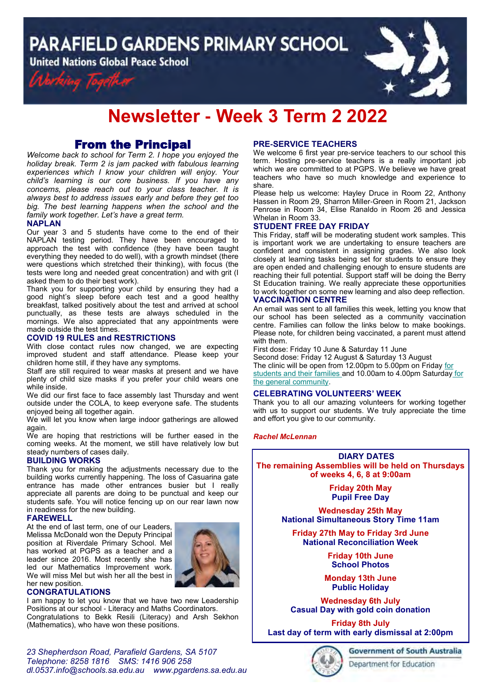**PARAFIELD GARDENS PRIMARY SCHOOL** 

**United Nations Global Peace School** 





# **Newsletter - Week 3 Term 2 2022**

## From the Principal

*Welcome back to school for Term 2. I hope you enjoyed the holiday break. Term 2 is jam packed with fabulous learning experiences which I know your children will enjoy. Your child's learning is our core business. If you have any concerns, please reach out to your class teacher. It is always best to address issues early and before they get too big. The best learning happens when the school and the family work together. Let's have a great term.*

## **NAPLAN**

Our year 3 and 5 students have come to the end of their NAPLAN testing period. They have been encouraged to approach the test with confidence (they have been taught everything they needed to do well), with a growth mindset (there were questions which stretched their thinking), with focus (the tests were long and needed great concentration) and with grit (I asked them to do their best work).

Thank you for supporting your child by ensuring they had a good night's sleep before each test and a good healthy breakfast, talked positively about the test and arrived at school punctually, as these tests are always scheduled in the mornings. We also appreciated that any appointments were made outside the test times.

## **COVID 19 RULES and RESTRICTIONS**

With close contact rules now changed, we are expecting improved student and staff attendance. Please keep your children home still, if they have any symptoms.

Staff are still required to wear masks at present and we have plenty of child size masks if you prefer your child wears one while inside.

We did our first face to face assembly last Thursday and went outside under the COLA, to keep everyone safe. The students enjoyed being all together again.

We will let you know when large indoor gatherings are allowed again.

We are hoping that restrictions will be further eased in the coming weeks. At the moment, we still have relatively low but steady numbers of cases daily.

## **BUILDING WORKS**

Thank you for making the adjustments necessary due to the building works currently happening. The loss of Casuarina gate entrance has made other entrances busier but I really appreciate all parents are doing to be punctual and keep our students safe. You will notice fencing up on our rear lawn now in readiness for the new building.

## **FAREWELL**

At the end of last term, one of our Leaders, Melissa McDonald won the Deputy Principal position at Riverdale Primary School. Mel has worked at PGPS as a teacher and a leader since 2016. Most recently she has led our Mathematics Improvement work. We will miss Mel but wish her all the best in her new position.



## **CONGRATULATIONS**

I am happy to let you know that we have two new Leadership Positions at our school - Literacy and Maths Coordinators. Congratulations to Bekk Resili (Literacy) and Arsh Sekhon (Mathematics), who have won these positions.

## **PRE-SERVICE TEACHERS**

We welcome 6 first year pre-service teachers to our school this term. Hosting pre-service teachers is a really important job which we are committed to at PGPS. We believe we have great teachers who have so much knowledge and experience to share.

Please help us welcome: Hayley Druce in Room 22, Anthony Hassen in Room 29, Sharron Miller-Green in Room 21, Jackson Penrose in Room 34, Elise Ranaldo in Room 26 and Jessica Whelan in Room 33.

## **STUDENT FREE DAY FRIDAY**

This Friday, staff will be moderating student work samples. This is important work we are undertaking to ensure teachers are confident and consistent in assigning grades. We also look closely at learning tasks being set for students to ensure they are open ended and challenging enough to ensure students are reaching their full potential. Support staff will be doing the Berry St Education training. We really appreciate these opportunities to work together on some new learning and also deep reflection.

## **VACCINATION CENTRE**

An email was sent to all families this week, letting you know that our school has been selected as a community vaccination centre. Families can follow the links below to make bookings. Please note, for children being vaccinated, a parent must attend with them.

First dose: Friday 10 June & Saturday 11 June Second dose: Friday 12 August & Saturday 13 August The clinic will be open from 12.00pm to 5.00pm on Friday for students and their families and 10.00am to 4.00pm Saturday for the general community.

## **CELEBRATING VOLUNTEERS' WEEK**

Thank you to all our amazing volunteers for working together with us to support our students. We truly appreciate the time and effort you give to our community.

## *Rachel McLennan*

**DIARY DATES The remaining Assemblies will be held on Thursdays of weeks 4, 6, 8 at 9:00am**

> **Friday 20th May Pupil Free Day**

**Wednesday 25th May National Simultaneous Story Time 11am** 

**Friday 27th May to Friday 3rd June National Reconciliation Week** 

> **Friday 10th June School Photos**

**Monday 13th June Public Holiday**

**Wednesday 6th July Casual Day with gold coin donation** 

**Friday 8th July Last day of term with early dismissal at 2:00pm** 

Department for Education

*23 Shepherdson Road, Parafield Gardens, SA 5107 Telephone: 8258 1816 [SMS:](http://www.youtube.com/user/ParafieldGR7) 1416 906 258 dl[.0537.info@schools.sa.edu.au](mailto:dl.0537_info@schools.sa.edu.au) www.pgardens.sa.edu.au*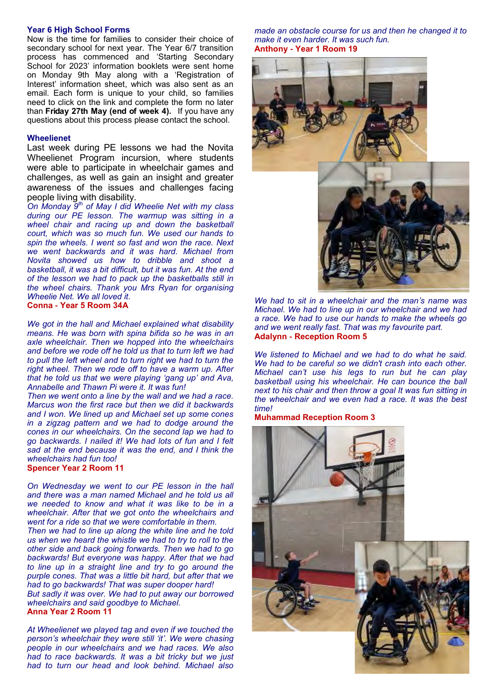#### **Year 6 High School Forms**

Now is the time for families to consider their choice of secondary school for next year. The Year 6/7 transition process has commenced and 'Starting Secondary School for 2023' information booklets were sent home on Monday 9th May along with a 'Registration of Interest' information sheet, which was also sent as an email. Each form is unique to your child, so families need to click on the link and complete the form no later than **Friday 27th May (end of week 4).** If you have any questions about this process please contact the school.

#### **Wheelienet**

Last week during PE lessons we had the Novita Wheelienet Program incursion, where students were able to participate in wheelchair games and challenges, as well as gain an insight and greater awareness of the issues and challenges facing people living with disability.

*On Monday 9th of May I did Wheelie Net with my class during our PE lesson. The warmup was sitting in a wheel chair and racing up and down the basketball court, which was so much fun. We used our hands to spin the wheels. I went so fast and won the race. Next we went backwards and it was hard. Michael from Novita showed us how to dribble and shoot a basketball, it was a bit difficult, but it was fun. At the end of the lesson we had to pack up the basketballs still in the wheel chairs. Thank you Mrs Ryan for organising Wheelie Net. We all loved it.*  **Conna - Year 5 Room 34A**

*We got in the hall and Michael explained what disability means. He was born with spina bifida so he was in an axle wheelchair. Then we hopped into the wheelchairs and before we rode off he told us that to turn left we had to pull the left wheel and to turn right we had to turn the right wheel. Then we rode off to have a warm up. After that he told us that we were playing 'gang up' and Ava, Annabelle and Thawn Pi were it. It was fun!* 

*Then we went onto a line by the wall and we had a race. Marcus won the first race but then we did it backwards and I won. We lined up and Michael set up some cones in a zigzag pattern and we had to dodge around the cones in our wheelchairs. On the second lap we had to go backwards. I nailed it! We had lots of fun and I felt sad at the end because it was the end, and I think the wheelchairs had fun too!*

## **Spencer Year 2 Room 11**

*On Wednesday we went to our PE lesson in the hall and there was a man named Michael and he told us all we needed to know and what it was like to be in a wheelchair. After that we got onto the wheelchairs and went for a ride so that we were comfortable in them.*

*Then we had to line up along the white line and he told us when we heard the whistle we had to try to roll to the other side and back going forwards. Then we had to go backwards! But everyone was happy. After that we had to line up in a straight line and try to go around the purple cones. That was a little bit hard, but after that we had to go backwards! That was super dooper hard! But sadly it was over. We had to put away our borrowed* 

*wheelchairs and said goodbye to Michael.* **Anna Year 2 Room 11**

*At Wheelienet we played tag and even if we touched the person's wheelchair they were still 'it'. We were chasing people in our wheelchairs and we had races. We also had to race backwards. It was a bit tricky but we just had to turn our head and look behind. Michael also* 

*made an obstacle course for us and then he changed it to make it even harder. It was such fun.* **Anthony - Year 1 Room 19**



*We had to sit in a wheelchair and the man's name was Michael. We had to line up in our wheelchair and we had a race. We had to use our hands to make the wheels go and we went really fast. That was my favourite part.* **Adalynn - Reception Room 5**

*We listened to Michael and we had to do what he said. We had to be careful so we didn't crash into each other. Michael can't use his legs to run but he can play basketball using his wheelchair. He can bounce the ball next to his chair and then throw a goal It was fun sitting in the wheelchair and we even had a race. It was the best time!*

#### **Muhammad Reception Room 3**

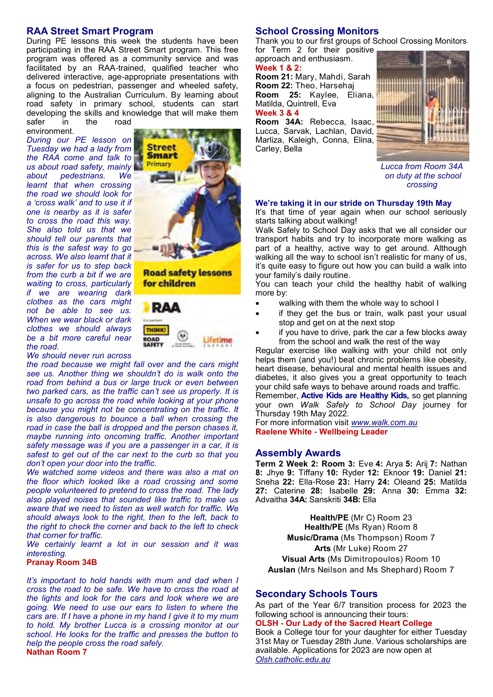## **RAA Street Smart Program**

During PE lessons this week the students have been participating in the RAA Street Smart program. This free program was offered as a community service and was facilitated by an RAA-trained, qualified teacher who delivered interactive, age-appropriate presentations with a focus on pedestrian, passenger and wheeled safety, aligning to the Australian Curriculum. By learning about road safety in primary school, students can start developing the skills and knowledge that will make them safer in the road

environment.

*During our PE lesson on Tuesday we had a lady from the RAA come and talk to us about road safety, mainly about pedestrians. We learnt that when crossing the road we should look for a 'cross walk' and to use it if one is nearby as it is safer to cross the road this way. She also told us that we should tell our parents that this is the safest way to go across. We also learnt that it is safer for us to step back from the curb a bit if we are waiting to cross, particularly if we are wearing dark clothes as the cars might not be able to see us. When we wear black or dark clothes we should always be a bit more careful near the road.*



**Road safety lessons** for children



*We should never run across* 

*the road because we might fall over and the cars might see us. Another thing we shouldn't do is walk onto the road from behind a bus or large truck or even between two parked cars, as the traffic can't see us properly. It is unsafe to go across the road while looking at your phone because you might not be concentrating on the traffic. It is also dangerous to bounce a ball when crossing the road in case the ball is dropped and the person chases it, maybe running into oncoming traffic. Another important safety message was if you are a passenger in a car, it is safest to get out of the car next to the curb so that you don't open your door into the traffic.*

*We watched some videos and there was also a mat on the floor which looked like a road crossing and some people volunteered to pretend to cross the road. The lady also played noises that sounded like traffic to make us aware that we need to listen as well watch for traffic. We should always look to the right, then to the left, back to the right to check the corner and back to the left to check that corner for traffic.*

*We certainly learnt a lot in our session and it was interesting.*

#### **Pranay Room 34B**

*It's important to hold hands with mum and dad when I cross the road to be safe. We have to cross the road at the lights and look for the cars and look where we are going. We need to use our ears to listen to where the cars are. If I have a phone in my hand I give it to my mum to hold. My brother Lucca is a crossing monitor at our school. He looks for the traffic and presses the button to help the people cross the road safely.*  **Nathan Room 7**

## **School Crossing Monitors**

Thank you to our first groups of School Crossing Monitors for Term 2 for their positive

approach and enthusiasm. **Week 1 & 2: Room 21:** Mary, Mahdi, Sarah **Room 22:** Theo, Harsehaj

**Room 25:** Kaylee, Eliana, Matilda, Quintrell, Eva **Week 3 & 4**

**Room 34A:** Rebecca, Isaac, Lucca, Sarvak, Lachlan, David, Marliza, Kaleigh, Conna, Elina, Carley, Bella



*Lucca from Room 34A on duty at the school crossing*

## **We're taking it in our stride on Thursday 19th May**

It's that time of year again when our school seriously starts talking about walking!

Walk Safely to School Day asks that we all consider our transport habits and try to incorporate more walking as part of a healthy, active way to get around. Although walking all the way to school isn't realistic for many of us, it's quite easy to figure out how you can build a walk into your family's daily routine.

You can teach your child the healthy habit of walking more by:

- walking with them the whole way to school I
- if they get the bus or train, walk past your usual stop and get on at the next stop
- if you have to drive, park the car a few blocks away from the school and walk the rest of the way

Regular exercise like walking with your child not only helps them (and you!) beat chronic problems like obesity, heart disease, behavioural and mental health issues and diabetes, it also gives you a great opportunity to teach your child safe ways to behave around roads and traffic.

Remember, **Active Kids are Healthy Kids,** so get planning your own *Walk Safely to School Day* journey for Thursday 19th May 2022.

For more information visit *www.walk.com.au* **Raelene White - Wellbeing Leader** 

#### **Assembly Awards**

**Term 2 Week 2: Room 3:** Eve **4:** Arya **5:** Arij **7:** Nathan **8:** Jhye **9:** Tiffany **10:** Ryder **12:** Eknoor **19:** Daniel **21:**  Sneha **22:** Ella-Rose **23:** Harry **24:** Oleand **25:** Matilda **27:** Caterine **28:** Isabelle **29:** Anna **30:** Emma **32:**  Advaitha **34A:** Sanskriti **34B:** Ella

**Health/PE** (Mr C) Room 23 **Health/PE** (Ms Ryan) Room 8 **Music/Drama** (Ms Thompson) Room 7 **Arts** (Mr Luke) Room 27 **Visual Arts** (Ms Dimitropoulos) Room 10 **Auslan** (Mrs Neilson and Ms Shephard) Room 7

## **Secondary Schools Tours**

As part of the Year 6/7 transition process for 2023 the following school is announcing their tours:

#### **OLSH - Our Lady of the Sacred Heart College**

Book a College tour for your daughter for either Tuesdav 31st May or Tuesday 28th June. Various scholarships are available. Applications for 2023 are now open at *Olsh.catholic.edu.au*